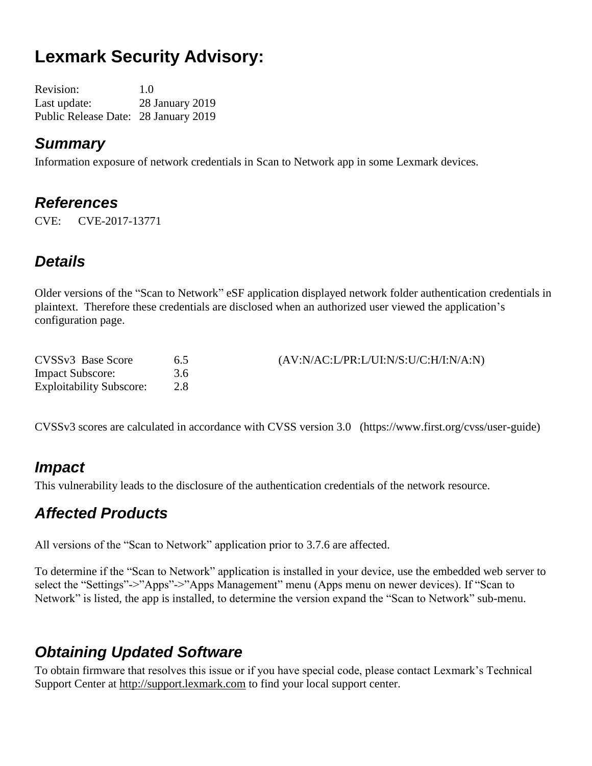# **Lexmark Security Advisory:**

Revision: 1.0 Last update: 28 January 2019 Public Release Date: 28 January 2019

#### *Summary*

Information exposure of network credentials in Scan to Network app in some Lexmark devices.

#### *References*

CVE: CVE-2017-13771

### *Details*

Older versions of the "Scan to Network" eSF application displayed network folder authentication credentials in plaintext. Therefore these credentials are disclosed when an authorized user viewed the application's configuration page.

| CVSSv3 Base Score               | 6.5 | (AV:N/AC:LPR:L/UI:N/S:U/C:H/I:N/A:N) |
|---------------------------------|-----|--------------------------------------|
| <b>Impact Subscore:</b>         | 3.6 |                                      |
| <b>Exploitability Subscore:</b> |     |                                      |

CVSSv3 scores are calculated in accordance with CVSS version 3.0 (https://www.first.org/cvss/user-guide)

#### *Impact*

This vulnerability leads to the disclosure of the authentication credentials of the network resource.

#### *Affected Products*

All versions of the "Scan to Network" application prior to 3.7.6 are affected.

To determine if the "Scan to Network" application is installed in your device, use the embedded web server to select the "Settings"->"Apps"->"Apps Management" menu (Apps menu on newer devices). If "Scan to Network" is listed, the app is installed, to determine the version expand the "Scan to Network" sub-menu.

### *Obtaining Updated Software*

To obtain firmware that resolves this issue or if you have special code, please contact Lexmark's Technical Support Center at [http://support.lexmark.com](http://support.lexmark.com/) to find your local support center.